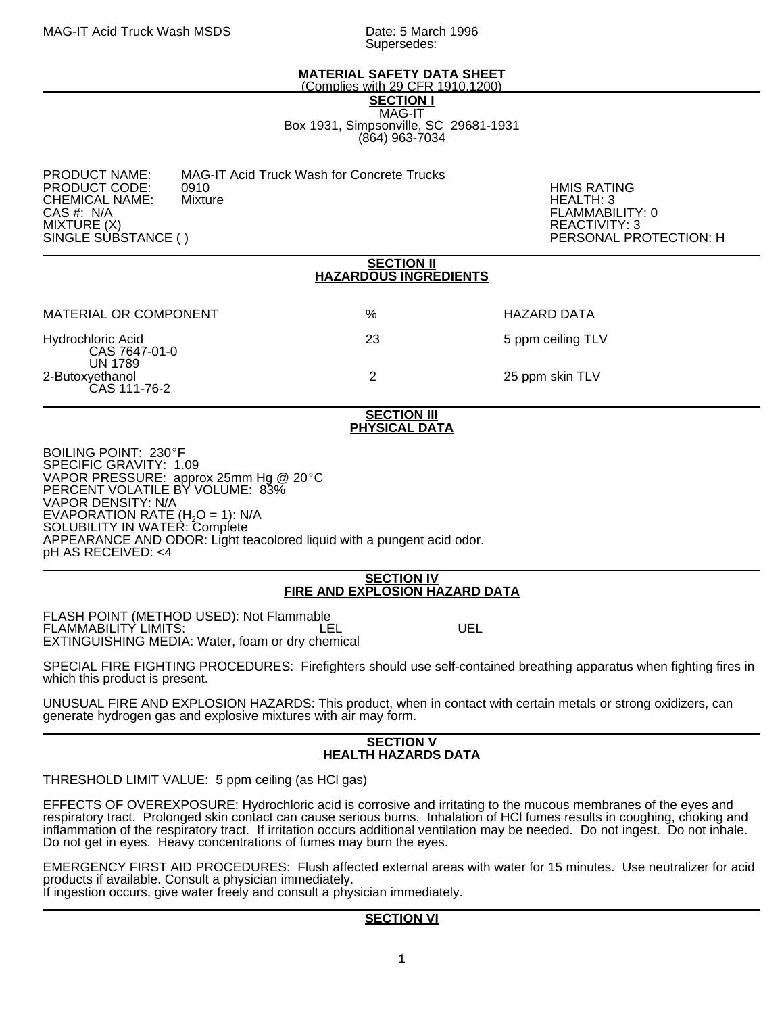Supersedes:

# **MATERIAL SAFETY DATA SHEET**

(Complies with 29 CFR 1910.1200)

**SECTION I** MAG-IT Box 1931, Simpsonville, SC 29681-1931 (864) 963-7034

PRODUCT NAME: MAG-IT Acid Truck Wash for Concrete Trucks<br>PRODUCT CODE: 0910

PRODUCT CODE: 0910 HMIS RATING CHEMICAL NAME:<br>CAS #: N/A CAS #: N/A FLAMMABILITY: 0 MIXTURE (X) REACTIVITY: 3

PERSONAL PROTECTION: H

### **SECTION II HAZARDOUS INGREDIENTS**

| MATERIAL OR COMPONENT                                | %  | HAZARD DATA       |
|------------------------------------------------------|----|-------------------|
| Hydrochloric Acid<br>CAS 7647-01-0<br><b>UN 1789</b> | 23 | 5 ppm ceiling TLV |
| 2-Butoxyethanol<br>CAS 111-76-2                      |    | 25 ppm skin TLV   |

### **SECTION III PHYSICAL DATA**

BOILING POINT: 230°F SPECIFIC GRAVITY: 1.09 VAPOR PRESSURE: approx 25mm Hg @ 20 $^{\circ}$ C PERCENT VOLATILE BY VOLUME: 83% VAPOR DENSITY: N/A EVAPORATION RATE  $(H_2O = 1)$ : N/A SOLUBILITY IN WATER: Complete APPEARANCE AND ODOR: Light teacolored liquid with a pungent acid odor. pH AS RECEIVED: <4

#### **SECTION IV FIRE AND EXPLOSION HAZARD DATA**

FLASH POINT (METHOD USED): Not Flammable FLAMMABILITY LIMITS:  $\overline{L}$  LEL UEL EXTINGUISHING MEDIA: Water, foam or dry chemical

SPECIAL FIRE FIGHTING PROCEDURES: Firefighters should use self-contained breathing apparatus when fighting fires in which this product is present.

UNUSUAL FIRE AND EXPLOSION HAZARDS: This product, when in contact with certain metals or strong oxidizers, can generate hydrogen gas and explosive mixtures with air may form.

### **SECTION V HEALTH HAZARDS DATA**

THRESHOLD LIMIT VALUE: 5 ppm ceiling (as HCl gas)

İ. EFFECTS OF OVEREXPOSURE: Hydrochloric acid is corrosive and irritating to the mucous membranes of the eyes and respiratory tract. Prolonged skin contact can cause serious burns. Inhalation of HCl fumes results in coughing, choking and inflammation of the respiratory tract. If irritation occurs additional ventilation may be needed. Do not ingest. Do not inhale. Do not get in eyes. Heavy concentrations of fumes may burn the eyes.

EMERGENCY FIRST AID PROCEDURES: Flush affected external areas with water for 15 minutes. Use neutralizer for acid products if available. Consult a physician immediately. If ingestion occurs, give water freely and consult a physician immediately.

# **SECTION VI**